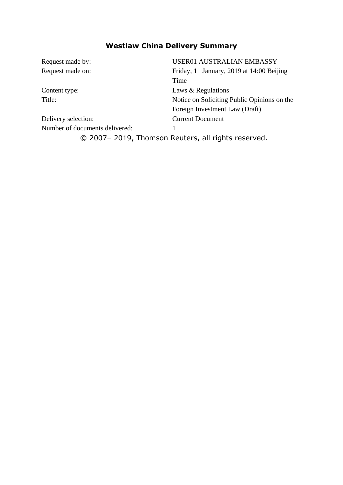## **Westlaw China Delivery Summary**

| Request made by:               | <b>USER01 AUSTRALIAN EMBASSY</b>                   |
|--------------------------------|----------------------------------------------------|
| Request made on:               | Friday, 11 January, 2019 at 14:00 Beijing          |
|                                | Time                                               |
| Content type:                  | Laws & Regulations                                 |
| Title:                         | Notice on Soliciting Public Opinions on the        |
|                                | Foreign Investment Law (Draft)                     |
| Delivery selection:            | <b>Current Document</b>                            |
| Number of documents delivered: |                                                    |
|                                | © 2007-2019, Thomson Reuters, all rights reserved. |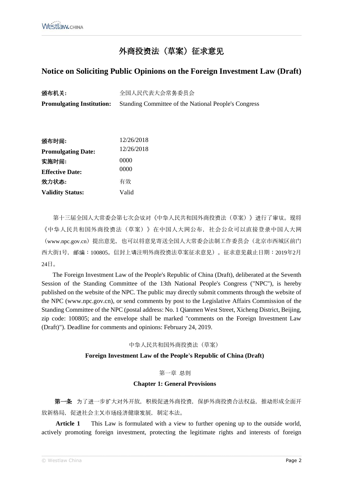# 外商投资法 (草案) 征求意见

## Notice on Soliciting Public Opinions on the Foreign Investment Law (Draft)

| 颁布机关:                            | 全国人民代表大会常务委员会                                               |
|----------------------------------|-------------------------------------------------------------|
| <b>Promulgating Institution:</b> | <b>Standing Committee of the National People's Congress</b> |

| 颁布时间:                     | 12/26/2018 |
|---------------------------|------------|
| <b>Promulgating Date:</b> | 12/26/2018 |
| 实施时间:                     | 0000       |
| <b>Effective Date:</b>    | 0000       |
| 效力状态:                     | 有效         |
| <b>Validity Status:</b>   | Valid      |

第十三届全国人大常委会第七次会议对《中华人民共和国外商投资法(草案)》进行了审议。现将 《中华人民共和国外商投资法(草案)》在中国人大网公布,社会公众可以直接登录中国人大网 (www.npc.gov.cn) 提出意见, 也可以将意见寄送全国人大常委会法制工作委员会 (北京市西城区前门 西大街1号, 邮编:100805。信封上请注明外商投资法草案征求意见)。征求意见截止日期:2019年2月  $24H<sub>o</sub>$ 

The Foreign Investment Law of the People's Republic of China (Draft), deliberated at the Seventh Session of the Standing Committee of the 13th National People's Congress ("NPC"), is hereby published on the website of the NPC. The public may directly submit comments through the website of the NPC (www.npc.gov.cn), or send comments by post to the Legislative Affairs Commission of the Standing Committee of the NPC (postal address: No. 1 Qianmen West Street, Xicheng District, Beijing, zip code: 100805; and the envelope shall be marked "comments on the Foreign Investment Law (Draft)"). Deadline for comments and opinions: February 24, 2019.

## 中华人民共和国外商投资法 (草案)

## Foreign Investment Law of the People's Republic of China (Draft)

## 第一章 总则

## **Chapter 1: General Provisions**

第一条 为了进一步扩大对外开放, 积极促进外商投资, 保护外商投资合法权益, 推动形成全面开 放新格局, 促进社会主义市场经济健康发展, 制定本法。

This Law is formulated with a view to further opening up to the outside world, **Article 1** actively promoting foreign investment, protecting the legitimate rights and interests of foreign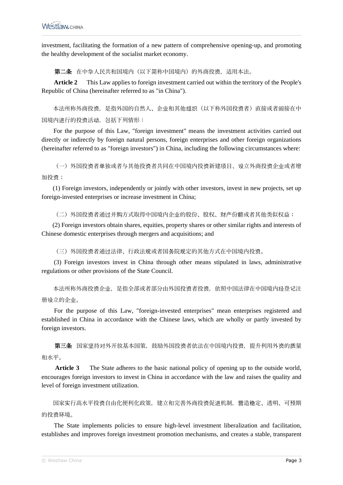investment, facilitating the formation of a new pattern of comprehensive opening-up, and promoting the healthy development of the socialist market economy.

第二条 在中华人民共和国境内(以下简称中国境内)的外商投资,适用本法。

**Article 2** This Law applies to foreign investment carried out within the territory of the People's Republic of China (hereinafter referred to as "in China").

本法所称外商投资,是指外国的自然人、企业和其他组织(以下称外国投资者)直接或者间接在中 国境内进行的投资活动,包括下列情形:

For the purpose of this Law, "foreign investment" means the investment activities carried out directly or indirectly by foreign natural persons, foreign enterprises and other foreign organizations (hereinafter referred to as "foreign investors") in China, including the following circumstances where:

(一)外国投资者单独或者与其他投资者共同在中国境内投资新建项目、设立外商投资企业或者增 加投资;

(1) Foreign investors, independently or jointly with other investors, invest in new projects, set up foreign-invested enterprises or increase investment in China;

(二)外国投资者通过并购方式取得中国境内企业的股份、股权、财产份额或者其他类似权益;

(2) Foreign investors obtain shares, equities, property shares or other similar rights and interests of Chinese domestic enterprises through mergers and acquisitions; and

(三)外国投资者通过法律、行政法规或者国务院规定的其他方式在中国境内投资。

(3) Foreign investors invest in China through other means stipulated in laws, administrative regulations or other provisions of the State Council.

本法所称外商投资企业,是指全部或者部分由外国投资者投资,依照中国法律在中国境内经登记注 册设立的企业。

For the purpose of this Law, "foreign-invested enterprises" mean enterprises registered and established in China in accordance with the Chinese laws, which are wholly or partly invested by foreign investors.

第三条 国家坚持对外开放基本国策,鼓励外国投资者依法在中国境内投资,提升利用外资的质量 和水平。

**Article 3** The State adheres to the basic national policy of opening up to the outside world, encourages foreign investors to invest in China in accordance with the law and raises the quality and level of foreign investment utilization.

国家实行高水平投资自由化便利化政策,建立和完善外商投资促进机制,营造稳定、透明、可预期 的投资环境。

The State implements policies to ensure high-level investment liberalization and facilitation, establishes and improves foreign investment promotion mechanisms, and creates a stable, transparent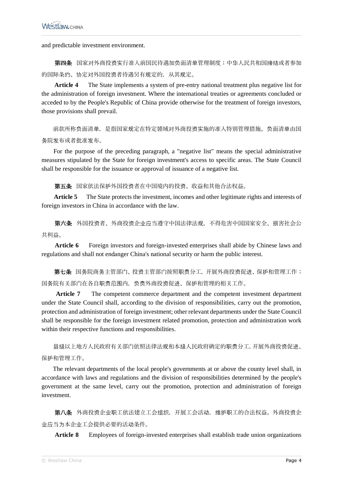and predictable investment environment.

第四条 国家对外商投资实行准入前国民待遇加负面清单管理制度;中华人民共和国缔结或者参加 的国际条约、协定对外国投资者待遇另有规定的,从其规定。

**Article 4** The State implements a system of pre-entry national treatment plus negative list for the administration of foreign investment. Where the international treaties or agreements concluded or acceded to by the People's Republic of China provide otherwise for the treatment of foreign investors, those provisions shall prevail.

前款所称负面清单,是指国家规定在特定领域对外商投资实施的准入特别管理措施。负面清单由国 务院发布或者批准发布。

For the purpose of the preceding paragraph, a "negative list" means the special administrative measures stipulated by the State for foreign investment's access to specific areas. The State Council shall be responsible for the issuance or approval of issuance of a negative list.

第五条 国家依法保护外国投资者在中国境内的投资、收益和其他合法权益。

**Article 5** The State protects the investment, incomes and other legitimate rights and interests of foreign investors in China in accordance with the law.

第六条 外国投资者、外商投资企业应当遵守中国法律法规,不得危害中国国家安全、损害社会公 共利益。

Article 6 Foreign investors and foreign-invested enterprises shall abide by Chinese laws and regulations and shall not endanger China's national security or harm the public interest.

第七条 国务院商务主管部门、投资主管部门按照职责分工,开展外商投资促进、保护和管理工作; 国务院有关部门在各自职责范围内,负责外商投资促进、保护和管理的相关工作。

**Article 7** The competent commerce department and the competent investment department under the State Council shall, according to the division of responsibilities, carry out the promotion, protection and administration of foreign investment; other relevant departments under the State Council shall be responsible for the foreign investment related promotion, protection and administration work within their respective functions and responsibilities.

县级以上地方人民政府有关部门依照法律法规和本级人民政府确定的职责分工,开展外商投资促进、 保护和管理工作。

The relevant departments of the local people's governments at or above the county level shall, in accordance with laws and regulations and the division of responsibilities determined by the people's government at the same level, carry out the promotion, protection and administration of foreign investment.

第八条 外商投资企业职工依法建立工会组织,开展工会活动,维护职工的合法权益。外商投资企 业应当为本企业工会提供必要的活动条件。

**Article 8** Employees of foreign-invested enterprises shall establish trade union organizations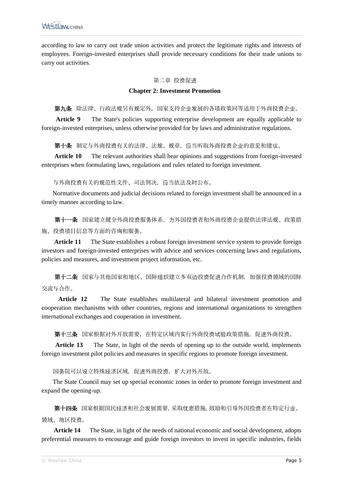according to law to carry out trade union activities and protect the legitimate rights and interests of employees. Foreign-invested enterprises shall provide necessary conditions for their trade unions to carry out activities.

#### 第二章 投资促进

### **Chapter 2: Investment Promotion**

第九条 除法律、行政法规另有规定外,国家支持企业发展的各项政策同等适用于外商投资企业。

**Article 9** The State's policies supporting enterprise development are equally applicable to foreign-invested enterprises, unless otherwise provided for by laws and administrative regulations.

第十条 制定与外商投资有关的法律、法规、规章,应当听取外商投资企业的意见和建议。

**Article 10** The relevant authorities shall hear opinions and suggestions from foreign-invested enterprises when formulating laws, regulations and rules related to foreign investment.

与外商投资有关的规范性文件、司法判决,应当依法及时公布。

Normative documents and judicial decisions related to foreign investment shall be announced in a timely manner according to law.

第十一条 国家建立健全外商投资服务体系,为外国投资者和外商投资企业提供法律法规、政策措 施、投资项目信息等方面的咨询和服务。

**Article 11** The State establishes a robust foreign investment service system to provide foreign investors and foreign-invested enterprises with advice and services concerning laws and regulations, policies and measures, and investment project information, etc.

第十二条 国家与其他国家和地区、国际组织建立多双边投资促进合作机制,加强投资领域的国际 交流与合作。

**Article 12** The State establishes multilateral and bilateral investment promotion and cooperation mechanisms with other countries, regions and international organizations to strengthen international exchanges and cooperation in investment.

第十三条 国家根据对外开放需要,在特定区域内实行外商投资试验政策措施,促进外商投资。

**Article 13** The State, in light of the needs of opening up to the outside world, implements foreign investment pilot policies and measures in specific regions to promote foreign investment.

国务院可以设立特殊经济区域,促进外商投资,扩大对外开放。

The State Council may set up special economic zones in order to promote foreign investment and expand the opening-up.

第十四条 国家根据国民经济和社会发展需要,采取优惠措施,鼓励和引导外国投资者在特定行业、 领域、地区投资。

**Article 14** The State, in light of the needs of national economic and social development, adopts preferential measures to encourage and guide foreign investors to invest in specific industries, fields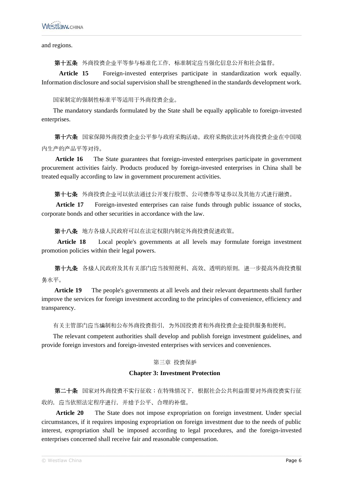and regions.

第十五条 外商投资企业平等参与标准化工作,标准制定应当强化信息公开和社会监督。

**Article 15** Foreign-invested enterprises participate in standardization work equally. Information disclosure and social supervision shall be strengthened in the standards development work.

国家制定的强制性标准平等适用于外商投资企业。

The mandatory standards formulated by the State shall be equally applicable to foreign-invested enterprises.

第十六条 国家保障外商投资企业公平参与政府采购活动。政府采购依法对外商投资企业在中国境 内生产的产品平等对待。

Article 16 The State guarantees that foreign-invested enterprises participate in government procurement activities fairly. Products produced by foreign-invested enterprises in China shall be treated equally according to law in government procurement activities.

第十七条 外商投资企业可以依法通过公开发行股票、公司债券等证券以及其他方式进行融资。

Article 17 Foreign-invested enterprises can raise funds through public issuance of stocks, corporate bonds and other securities in accordance with the law.

第十八条 地方各级人民政府可以在法定权限内制定外商投资促进政策。

**Article 18** Local people's governments at all levels may formulate foreign investment promotion policies within their legal powers.

第十九条 各级人民政府及其有关部门应当按照便利、高效、透明的原则,进一步提高外商投资服 务水平。

**Article 19** The people's governments at all levels and their relevant departments shall further improve the services for foreign investment according to the principles of convenience, efficiency and transparency.

有关主管部门应当编制和公布外商投资指引,为外国投资者和外商投资企业提供服务和便利。

The relevant competent authorities shall develop and publish foreign investment guidelines, and provide foreign investors and foreign-invested enterprises with services and conveniences.

## 第三章 投资保护

## **Chapter 3: Investment Protection**

第二十条 国家对外商投资不实行征收;在特殊情况下,根据社会公共利益需要对外商投资实行征 收的, 应当依照法定程序进行, 并给予公平、合理的补偿。

**Article 20** The State does not impose expropriation on foreign investment. Under special circumstances, if it requires imposing expropriation on foreign investment due to the needs of public interest, expropriation shall be imposed according to legal procedures, and the foreign-invested enterprises concerned shall receive fair and reasonable compensation.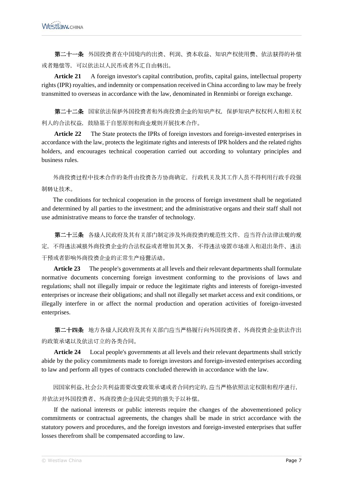第二十一条 外国投资者在中国境内的出资、利润、资本收益、知识产权使用费、依法获得的补偿 或者赔偿等,可以依法以人民币或者外汇自由转出。

**Article 21** A foreign investor's capital contribution, profits, capital gains, intellectual property rights (IPR) royalties, and indemnity or compensation received in China according to law may be freely transmitted to overseas in accordance with the law, denominated in Renminbi or foreign exchange.

第二十二条 国家依法保护外国投资者和外商投资企业的知识产权,保护知识产权权利人和相关权 利人的合法权益,鼓励基于自愿原则和商业规则开展技术合作。

**Article 22** The State protects the IPRs of foreign investors and foreign-invested enterprises in accordance with the law, protects the legitimate rights and interests of IPR holders and the related rights holders, and encourages technical cooperation carried out according to voluntary principles and business rules.

外商投资过程中技术合作的条件由投资各方协商确定,行政机关及其工作人员不得利用行政手段强 制转让技术。

The conditions for technical cooperation in the process of foreign investment shall be negotiated and determined by all parties to the investment; and the administrative organs and their staff shall not use administrative means to force the transfer of technology.

第二十三条 各级人民政府及其有关部门制定涉及外商投资的规范性文件,应当符合法律法规的规 定,不得违法减损外商投资企业的合法权益或者增加其义务,不得违法设置市场准入和退出条件、违法 干预或者影响外商投资企业的正常生产经营活动。

**Article 23** The people's governments at all levels and their relevant departments shall formulate normative documents concerning foreign investment conforming to the provisions of laws and regulations; shall not illegally impair or reduce the legitimate rights and interests of foreign-invested enterprises or increase their obligations; and shall not illegally set market access and exit conditions, or illegally interfere in or affect the normal production and operation activities of foreign-invested enterprises.

第二十四条 地方各级人民政府及其有关部门应当严格履行向外国投资者、外商投资企业依法作出 的政策承诺以及依法订立的各类合同。

**Article 24** Local people's governments at all levels and their relevant departments shall strictly abide by the policy commitments made to foreign investors and foreign-invested enterprises according to law and perform all types of contracts concluded therewith in accordance with the law.

因国家利益、社会公共利益需要改变政策承诺或者合同约定的,应当严格依照法定权限和程序进行, 并依法对外国投资者、外商投资企业因此受到的损失予以补偿。

If the national interests or public interests require the changes of the abovementioned policy commitments or contractual agreements, the changes shall be made in strict accordance with the statutory powers and procedures, and the foreign investors and foreign-invested enterprises that suffer losses therefrom shall be compensated according to law.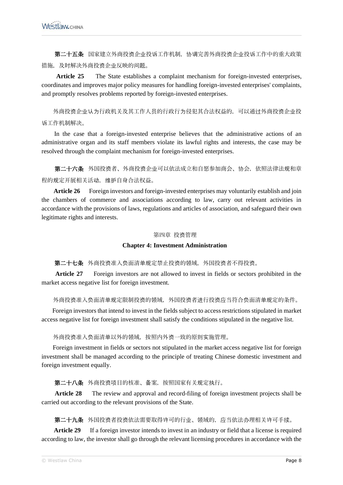第二十五条 国家建立外商投资企业投诉工作机制,协调完善外商投资企业投诉工作中的重大政策 措施,及时解决外商投资企业反映的问题。

**Article 25** The State establishes a complaint mechanism for foreign-invested enterprises, coordinates and improves major policy measures for handling foreign-invested enterprises' complaints, and promptly resolves problems reported by foreign-invested enterprises.

外商投资企业认为行政机关及其工作人员的行政行为侵犯其合法权益的,可以通过外商投资企业投 诉工作机制解决。

In the case that a foreign-invested enterprise believes that the administrative actions of an administrative organ and its staff members violate its lawful rights and interests, the case may be resolved through the complaint mechanism for foreign-invested enterprises.

第二十六条 外国投资者、外商投资企业可以依法成立和自愿参加商会、协会,依照法律法规和章 程的规定开展相关活动,维护自身合法权益。

**Article 26** Foreign investors and foreign-invested enterprises may voluntarily establish and join the chambers of commerce and associations according to law, carry out relevant activities in accordance with the provisions of laws, regulations and articles of association, and safeguard their own legitimate rights and interests.

#### 第四章 投资管理

## **Chapter 4: Investment Administration**

第二十七条 外商投资准入负面清单规定禁止投资的领域, 外国投资者不得投资。

**Article 27** Foreign investors are not allowed to invest in fields or sectors prohibited in the market access negative list for foreign investment.

外商投资准入负面清单规定限制投资的领域,外国投资者进行投资应当符合负面清单规定的条件。

Foreign investors that intend to invest in the fields subject to access restrictions stipulated in market access negative list for foreign investment shall satisfy the conditions stipulated in the negative list.

外商投资准入负面清单以外的领域,按照内外资一致的原则实施管理。

Foreign investment in fields or sectors not stipulated in the market access negative list for foreign investment shall be managed according to the principle of treating Chinese domestic investment and foreign investment equally.

第二十八条 外商投资项目的核准、备案,按照国家有关规定执行。

**Article 28** The review and approval and record-filing of foreign investment projects shall be carried out according to the relevant provisions of the State.

第二十九条 外国投资者投资依法需要取得许可的行业、领域的,应当依法办理相关许可手续。

**Article 29** If a foreign investor intends to invest in an industry or field that a license is required according to law, the investor shall go through the relevant licensing procedures in accordance with the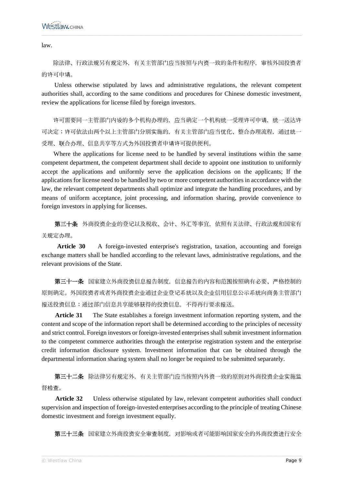law.

除法律、行政法规另有规定外,有关主管部门应当按照与内资一致的条件和程序,审核外国投资者 的许可申请。

Unless otherwise stipulated by laws and administrative regulations, the relevant competent authorities shall, according to the same conditions and procedures for Chinese domestic investment, review the applications for license filed by foreign investors.

许可需要同一主管部门内设的多个机构办理的,应当确定一个机构统一受理许可申请,统一送达许 可决定;许可依法由两个以上主管部门分别实施的,有关主管部门应当优化、整合办理流程,通过统一 受理、联合办理、信息共享等方式为外国投资者申请许可提供便利。

Where the applications for license need to be handled by several institutions within the same competent department, the competent department shall decide to appoint one institution to uniformly accept the applications and uniformly serve the application decisions on the applicants; If the applications for license need to be handled by two or more competent authorities in accordance with the law, the relevant competent departments shall optimize and integrate the handling procedures, and by means of uniform acceptance, joint processing, and information sharing, provide convenience to foreign investors in applying for licenses.

第三十条 外商投资企业的登记以及税收、会计、外汇等事宜,依照有关法律、行政法规和国家有 关规定办理。

**Article 30** A foreign-invested enterprise's registration, taxation, accounting and foreign exchange matters shall be handled according to the relevant laws, administrative regulations, and the relevant provisions of the State.

第三十一条 国家建立外商投资信息报告制度,信息报告的内容和范围按照确有必要、严格控制的 原则确定。外国投资者或者外商投资企业通过企业登记系统以及企业信用信息公示系统向商务主管部门 报送投资信息;通过部门信息共享能够获得的投资信息,不得再行要求报送。

**Article 31** The State establishes a foreign investment information reporting system, and the content and scope of the information report shall be determined according to the principles of necessity and strict control. Foreign investors or foreign-invested enterprises shall submit investment information to the competent commerce authorities through the enterprise registration system and the enterprise credit information disclosure system. Investment information that can be obtained through the departmental information sharing system shall no longer be required to be submitted separately.

第三十二条 除法律另有规定外,有关主管部门应当按照内外资一致的原则对外商投资企业实施监 督检查。

**Article 32** Unless otherwise stipulated by law, relevant competent authorities shall conduct supervision and inspection of foreign-invested enterprises according to the principle of treating Chinese domestic investment and foreign investment equally.

第三十三条 国家建立外商投资安全审查制度,对影响或者可能影响国家安全的外商投资进行安全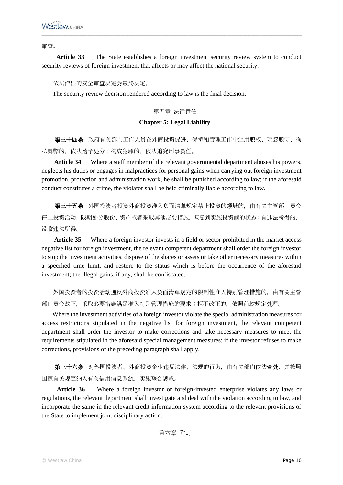审查。

**Article 33** The State establishes a foreign investment security review system to conduct security reviews of foreign investment that affects or may affect the national security.

## 依法作出的安全审查决定为最终决定。

The security review decision rendered according to law is the final decision.

## 第五章 法律责任

### **Chapter 5: Legal Liability**

第三十四条 政府有关部门工作人员在外商投资促进、保护和管理工作中滥用职权、玩忽职守、徇 私舞弊的,依法给予处分;构成犯罪的,依法追究刑事责任。

**Article 34** Where a staff member of the relevant governmental department abuses his powers, neglects his duties or engages in malpractices for personal gains when carrying out foreign investment promotion, protection and administration work, he shall be punished according to law; if the aforesaid conduct constitutes a crime, the violator shall be held criminally liable according to law.

第三十五条 外国投资者投资外商投资准入负面清单规定禁止投资的领域的,由有关主管部门责令 停止投资活动,限期处分股份、资产或者采取其他必要措施,恢复到实施投资前的状态;有违法所得的, 没收违法所得。

Article 35 Where a foreign investor invests in a field or sector prohibited in the market access negative list for foreign investment, the relevant competent department shall order the foreign investor to stop the investment activities, dispose of the shares or assets or take other necessary measures within a specified time limit, and restore to the status which is before the occurrence of the aforesaid investment; the illegal gains, if any, shall be confiscated.

外国投资者的投资活动违反外商投资准入负面清单规定的限制性准入特别管理措施的,由有关主管 部门责令改正,采取必要措施满足准入特别管理措施的要求;拒不改正的,依照前款规定处理。

Where the investment activities of a foreign investor violate the special administration measures for access restrictions stipulated in the negative list for foreign investment, the relevant competent department shall order the investor to make corrections and take necessary measures to meet the requirements stipulated in the aforesaid special management measures; if the investor refuses to make corrections, provisions of the preceding paragraph shall apply.

第三十六条 对外国投资者、外商投资企业违反法律、法规的行为,由有关部门依法查处,并按照 国家有关规定纳入有关信用信息系统,实施联合惩戒。

**Article 36** Where a foreign investor or foreign-invested enterprise violates any laws or regulations, the relevant department shall investigate and deal with the violation according to law, and incorporate the same in the relevant credit information system according to the relevant provisions of the State to implement joint disciplinary action.

第六章 附则